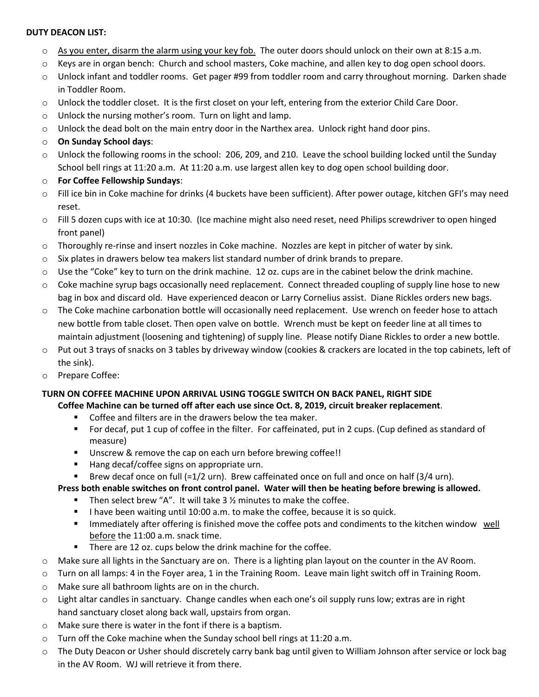#### **DUTY DEACON LIST:**

- $\circ$  As you enter, disarm the alarm using your key fob. The outer doors should unlock on their own at 8:15 a.m.
- o Keys are in organ bench: Church and school masters, Coke machine, and allen key to dog open school doors.
- o Unlock infant and toddler rooms. Get pager #99 from toddler room and carry throughout morning. Darken shade in Toddler Room.
- o Unlock the toddler closet. It is the first closet on your left, entering from the exterior Child Care Door.
- o Unlock the nursing mother's room. Turn on light and lamp.
- o Unlock the dead bolt on the main entry door in the Narthex area. Unlock right hand door pins.
- o **On Sunday School days**:
- o Unlock the following rooms in the school: 206, 209, and 210. Leave the school building locked until the Sunday School bell rings at 11:20 a.m. At 11:20 a.m. use largest allen key to dog open school building door.
- o **For Coffee Fellowship Sundays**:
- o Fill ice bin in Coke machine for drinks (4 buckets have been sufficient). After power outage, kitchen GFI's may need reset.
- $\circ$  Fill 5 dozen cups with ice at 10:30. (Ice machine might also need reset, need Philips screwdriver to open hinged front panel)
- o Thoroughly re-rinse and insert nozzles in Coke machine. Nozzles are kept in pitcher of water by sink.
- o Six plates in drawers below tea makers list standard number of drink brands to prepare.
- $\circ$  Use the "Coke" key to turn on the drink machine. 12 oz. cups are in the cabinet below the drink machine.
- o Coke machine syrup bags occasionally need replacement. Connect threaded coupling of supply line hose to new bag in box and discard old. Have experienced deacon or Larry Cornelius assist. Diane Rickles orders new bags.
- o The Coke machine carbonation bottle will occasionally need replacement. Use wrench on feeder hose to attach new bottle from table closet. Then open valve on bottle. Wrench must be kept on feeder line at all times to maintain adjustment (loosening and tightening) of supply line. Please notify Diane Rickles to order a new bottle.
- $\circ$  Put out 3 trays of snacks on 3 tables by driveway window (cookies & crackers are located in the top cabinets, left of the sink).
- o Prepare Coffee:

# **TURN ON COFFEE MACHINE UPON ARRIVAL USING TOGGLE SWITCH ON BACK PANEL, RIGHT SIDE**

#### **Coffee Machine can be turned off after each use since Oct. 8, 2019, circuit breaker replacement**.

- Coffee and filters are in the drawers below the tea maker.
- For decaf, put 1 cup of coffee in the filter. For caffeinated, put in 2 cups. (Cup defined as standard of measure)
- Unscrew & remove the cap on each urn before brewing coffee!!
- Hang decaf/coffee signs on appropriate urn.
- Brew decaf once on full (=1/2 urn). Brew caffeinated once on full and once on half (3/4 urn).

# **Press both enable switches on front control panel. Water will then be heating before brewing is allowed.**

- **•** Then select brew "A". It will take  $3\frac{1}{2}$  minutes to make the coffee.
- **•** I have been waiting until 10:00 a.m. to make the coffee, because it is so quick.
- Immediately after offering is finished move the coffee pots and condiments to the kitchen window well before the 11:00 a.m. snack time.
- There are 12 oz. cups below the drink machine for the coffee.
- o Make sure all lights in the Sanctuary are on. There is a lighting plan layout on the counter in the AV Room.
- o Turn on all lamps: 4 in the Foyer area, 1 in the Training Room. Leave main light switch off in Training Room.
- o Make sure all bathroom lights are on in the church.
- o Light altar candles in sanctuary. Change candles when each one's oil supply runs low; extras are in right hand sanctuary closet along back wall, upstairs from organ.
- o Make sure there is water in the font if there is a baptism.
- o Turn off the Coke machine when the Sunday school bell rings at 11:20 a.m.
- o The Duty Deacon or Usher should discretely carry bank bag until given to William Johnson after service or lock bag in the AV Room. WJ will retrieve it from there.